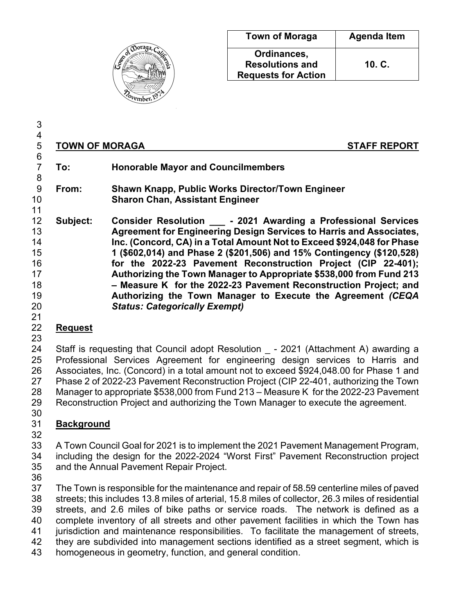

| <b>Town of Moraga</b>                                               | <b>Agenda Item</b> |
|---------------------------------------------------------------------|--------------------|
| Ordinances,<br><b>Resolutions and</b><br><b>Requests for Action</b> | 10. C.             |

 4<br>5 **TOWN OF MORAGA** STAFF REPORT 6<br>7 **To: Honorable Mayor and Councilmembers From: Shawn Knapp, Public Works Director/Town Engineer Sharon Chan, Assistant Engineer** 11<br>12 **Subject: Subject: Consider Resolution \_\_\_ - 2021 Awarding a Professional Services Agreement for Engineering Design Services to Harris and Associates, Inc. (Concord, CA) in a Total Amount Not to Exceed \$924,048 for Phase 1 (\$602,014) and Phase 2 (\$201,506) and 15% Contingency (\$120,528) for the 2022-23 Pavement Reconstruction Project (CIP 22-401); Authorizing the Town Manager to Appropriate \$538,000 from Fund 213 – Measure K for the 2022-23 Pavement Reconstruction Project; and Authorizing the Town Manager to Execute the Agreement** *(CEQA Status: Categorically Exempt)*

### **Request**

#### 

24 Staff is requesting that Council adopt Resolution - 2021 (Attachment A) awarding a Professional Services Agreement for engineering design services to Harris and Associates, Inc. (Concord) in a total amount not to exceed \$924,048.00 for Phase 1 and Phase 2 of 2022-23 Pavement Reconstruction Project (CIP 22-401, authorizing the Town Manager to appropriate \$538,000 from Fund 213 – Measure K for the 2022-23 Pavement Reconstruction Project and authorizing the Town Manager to execute the agreement. 

## **Background**

 A Town Council Goal for 2021 is to implement the 2021 Pavement Management Program, including the design for the 2022-2024 "Worst First" Pavement Reconstruction project and the Annual Pavement Repair Project.

 The Town is responsible for the maintenance and repair of 58.59 centerline miles of paved streets; this includes 13.8 miles of arterial, 15.8 miles of collector, 26.3 miles of residential streets, and 2.6 miles of bike paths or service roads. The network is defined as a complete inventory of all streets and other pavement facilities in which the Town has

jurisdiction and maintenance responsibilities. To facilitate the management of streets,

- they are subdivided into management sections identified as a street segment, which is
- homogeneous in geometry, function, and general condition.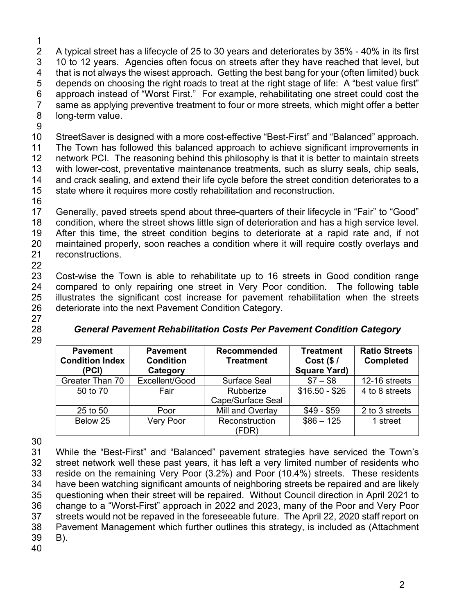$\frac{1}{2}$  A typical street has a lifecycle of 25 to 30 years and deteriorates by 35% - 40% in its first 10 to 12 years. Agencies often focus on streets after they have reached that level, but that is not always the wisest approach. Getting the best bang for your (often limited) buck depends on choosing the right roads to treat at the right stage of life: A "best value first" approach instead of "Worst First." For example, rehabilitating one street could cost the same as applying preventive treatment to four or more streets, which might offer a better long-term value.

9

10 StreetSaver is designed with a more cost-effective "Best-First" and "Balanced" approach.

11 The Town has followed this balanced approach to achieve significant improvements in 12 network PCI. The reasoning behind this philosophy is that it is better to maintain streets 13 with lower-cost, preventative maintenance treatments, such as slurry seals, chip seals, 14 and crack sealing, and extend their life cycle before the street condition deteriorates to a and crack sealing, and extend their life cycle before the street condition deteriorates to a 15 state where it requires more costly rehabilitation and reconstruction.

16

 Generally, paved streets spend about three-quarters of their lifecycle in "Fair" to "Good" condition, where the street shows little sign of deterioration and has a high service level. After this time, the street condition begins to deteriorate at a rapid rate and, if not maintained properly, soon reaches a condition where it will require costly overlays and reconstructions. 22

 Cost-wise the Town is able to rehabilitate up to 16 streets in Good condition range compared to only repairing one street in Very Poor condition. The following table illustrates the significant cost increase for pavement rehabilitation when the streets deteriorate into the next Pavement Condition Category.

27

29

### 28 *General Pavement Rehabilitation Costs Per Pavement Condition Category*

| <b>Pavement</b><br><b>Condition Index</b><br>(PCI) | <b>Pavement</b><br><b>Condition</b><br>Category | <b>Recommended</b><br><b>Treatment</b> | <b>Treatment</b><br>Cost $($/$<br><b>Square Yard)</b> | <b>Ratio Streets</b><br><b>Completed</b> |  |
|----------------------------------------------------|-------------------------------------------------|----------------------------------------|-------------------------------------------------------|------------------------------------------|--|
| Greater Than 70                                    | Excellent/Good                                  | <b>Surface Seal</b>                    | $$7 - $8$$                                            | 12-16 streets                            |  |
| 50 to 70                                           | Fair                                            | Rubberize<br>Cape/Surface Seal         | $$16.50 - $26$                                        | 4 to 8 streets                           |  |
| 25 to 50                                           | Poor                                            | Mill and Overlay                       | $$49 - $59$                                           | 2 to 3 streets                           |  |
| Below 25                                           | Very Poor                                       | Reconstruction<br>(FDR)                | $$86 - 125$                                           | 1 street                                 |  |

30

 While the "Best-First" and "Balanced" pavement strategies have serviced the Town's street network well these past years, it has left a very limited number of residents who reside on the remaining Very Poor (3.2%) and Poor (10.4%) streets. These residents have been watching significant amounts of neighboring streets be repaired and are likely questioning when their street will be repaired. Without Council direction in April 2021 to change to a "Worst-First" approach in 2022 and 2023, many of the Poor and Very Poor streets would not be repaved in the foreseeable future. The April 22, 2020 staff report on Pavement Management which further outlines this strategy, is included as (Attachment 39 B). 40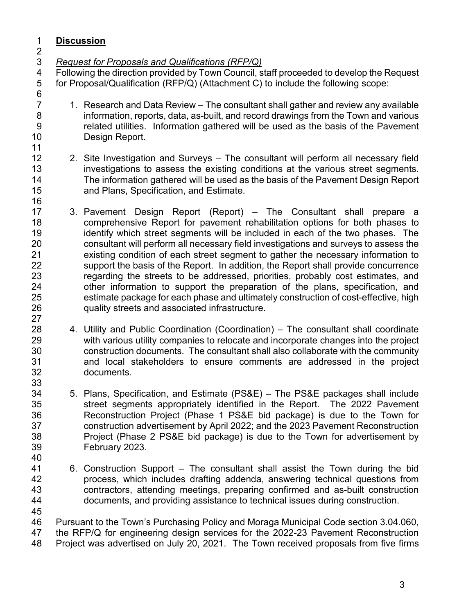## **Discussion**

*Request for Proposals and Qualifications (RFP/Q)*

 Following the direction provided by Town Council, staff proceeded to develop the Request for Proposal/Qualification (RFP/Q) (Attachment C) to include the following scope: 6<br>7

- 1. Research and Data Review The consultant shall gather and review any available information, reports, data, as-built, and record drawings from the Town and various related utilities. Information gathered will be used as the basis of the Pavement Design Report.
- 
- 2. Site Investigation and Surveys The consultant will perform all necessary field 13 investigations to assess the existing conditions at the various street segments.<br>14 The information gathered will be used as the basis of the Pavement Design Report The information gathered will be used as the basis of the Pavement Design Report

and Plans, Specification, and Estimate.

- 3. Pavement Design Report (Report) – The Consultant shall prepare a comprehensive Report for pavement rehabilitation options for both phases to identify which street segments will be included in each of the two phases. The consultant will perform all necessary field investigations and surveys to assess the existing condition of each street segment to gather the necessary information to support the basis of the Report. In addition, the Report shall provide concurrence 23 regarding the streets to be addressed, priorities, probably cost estimates, and<br>24 other information to support the preparation of the plans, specification, and other information to support the preparation of the plans, specification, and estimate package for each phase and ultimately construction of cost-effective, high quality streets and associated infrastructure.
- 4. Utility and Public Coordination (Coordination) – The consultant shall coordinate with various utility companies to relocate and incorporate changes into the project construction documents. The consultant shall also collaborate with the community and local stakeholders to ensure comments are addressed in the project documents.
- 5. Plans, Specification, and Estimate (PS&E) The PS&E packages shall include street segments appropriately identified in the Report. The 2022 Pavement Reconstruction Project (Phase 1 PS&E bid package) is due to the Town for construction advertisement by April 2022; and the 2023 Pavement Reconstruction Project (Phase 2 PS&E bid package) is due to the Town for advertisement by February 2023.
- 6. Construction Support The consultant shall assist the Town during the bid process, which includes drafting addenda, answering technical questions from contractors, attending meetings, preparing confirmed and as-built construction documents, and providing assistance to technical issues during construction.
- Pursuant to the Town's Purchasing Policy and Moraga Municipal Code section 3.04.060, the RFP/Q for engineering design services for the 2022-23 Pavement Reconstruction Project was advertised on July 20, 2021. The Town received proposals from five firms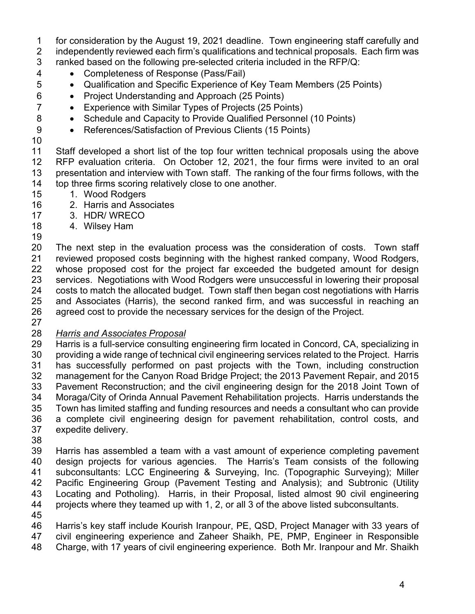for consideration by the August 19, 2021 deadline. Town engineering staff carefully and

 independently reviewed each firm's qualifications and technical proposals. Each firm was ranked based on the following pre-selected criteria included in the RFP/Q:

- Completeness of Response (Pass/Fail)
- Qualification and Specific Experience of Key Team Members (25 Points)
- Project Understanding and Approach (25 Points)
- Experience with Similar Types of Projects (25 Points)
- 8 Schedule and Capacity to Provide Qualified Personnel (10 Points)
- 9 References/Satisfaction of Previous Clients (15 Points)
- 

 Staff developed a short list of the top four written technical proposals using the above RFP evaluation criteria. On October 12, 2021, the four firms were invited to an oral presentation and interview with Town staff. The ranking of the four firms follows, with the top three firms scoring relatively close to one another.

- 15 1. Wood Rodgers
- 2. Harris and Associates
- 3. HDR/ WRECO
- 4. Wilsey Ham
- The next step in the evaluation process was the consideration of costs. Town staff reviewed proposed costs beginning with the highest ranked company, Wood Rodgers, whose proposed cost for the project far exceeded the budgeted amount for design services. Negotiations with Wood Rodgers were unsuccessful in lowering their proposal costs to match the allocated budget. Town staff then began cost negotiations with Harris and Associates (Harris), the second ranked firm, and was successful in reaching an agreed cost to provide the necessary services for the design of the Project.
- 

## *Harris and Associates Proposal*

 Harris is a full-service consulting engineering firm located in Concord, CA, specializing in providing a wide range of technical civil engineering services related to the Project. Harris has successfully performed on past projects with the Town, including construction management for the Canyon Road Bridge Project; the 2013 Pavement Repair, and 2015 Pavement Reconstruction; and the civil engineering design for the 2018 Joint Town of Moraga/City of Orinda Annual Pavement Rehabilitation projects. Harris understands the Town has limited staffing and funding resources and needs a consultant who can provide a complete civil engineering design for pavement rehabilitation, control costs, and expedite delivery.

 Harris has assembled a team with a vast amount of experience completing pavement design projects for various agencies. The Harris's Team consists of the following subconsultants: LCC Engineering & Surveying, Inc. (Topographic Surveying); Miller Pacific Engineering Group (Pavement Testing and Analysis); and Subtronic (Utility Locating and Potholing). Harris, in their Proposal, listed almost 90 civil engineering projects where they teamed up with 1, 2, or all 3 of the above listed subconsultants.

 Harris's key staff include Kourish Iranpour, PE, QSD, Project Manager with 33 years of civil engineering experience and Zaheer Shaikh, PE, PMP, Engineer in Responsible Charge, with 17 years of civil engineering experience. Both Mr. Iranpour and Mr. Shaikh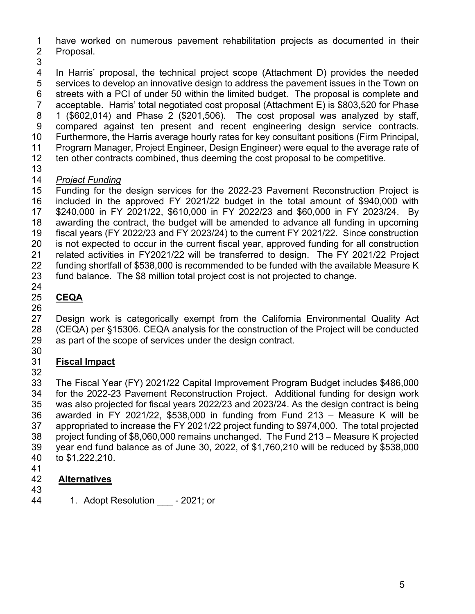have worked on numerous pavement rehabilitation projects as documented in their Proposal.

 In Harris' proposal, the technical project scope (Attachment D) provides the needed services to develop an innovative design to address the pavement issues in the Town on streets with a PCI of under 50 within the limited budget. The proposal is complete and acceptable. Harris' total negotiated cost proposal (Attachment E) is \$803,520 for Phase 1 (\$602,014) and Phase 2 (\$201,506). The cost proposal was analyzed by staff, compared against ten present and recent engineering design service contracts. Furthermore, the Harris average hourly rates for key consultant positions (Firm Principal, Program Manager, Project Engineer, Design Engineer) were equal to the average rate of ten other contracts combined, thus deeming the cost proposal to be competitive.

## *Project Funding*

 Funding for the design services for the 2022-23 Pavement Reconstruction Project is included in the approved FY 2021/22 budget in the total amount of \$940,000 with \$240,000 in FY 2021/22, \$610,000 in FY 2022/23 and \$60,000 in FY 2023/24. By awarding the contract, the budget will be amended to advance all funding in upcoming fiscal years (FY 2022/23 and FY 2023/24) to the current FY 2021/22. Since construction is not expected to occur in the current fiscal year, approved funding for all construction related activities in FY2021/22 will be transferred to design. The FY 2021/22 Project funding shortfall of \$538,000 is recommended to be funded with the available Measure K fund balance. The \$8 million total project cost is not projected to change. 

## **CEQA**

 Design work is categorically exempt from the California Environmental Quality Act (CEQA) per §15306. CEQA analysis for the construction of the Project will be conducted as part of the scope of services under the design contract.

## **Fiscal Impact**

 The Fiscal Year (FY) 2021/22 Capital Improvement Program Budget includes \$486,000 for the 2022-23 Pavement Reconstruction Project. Additional funding for design work was also projected for fiscal years 2022/23 and 2023/24. As the design contract is being awarded in FY 2021/22, \$538,000 in funding from Fund 213 – Measure K will be appropriated to increase the FY 2021/22 project funding to \$974,000. The total projected project funding of \$8,060,000 remains unchanged. The Fund 213 – Measure K projected year end fund balance as of June 30, 2022, of \$1,760,210 will be reduced by \$538,000 to \$1,222,210.

### **Alternatives**

- 
- 1. Adopt Resolution \_\_\_ 2021; or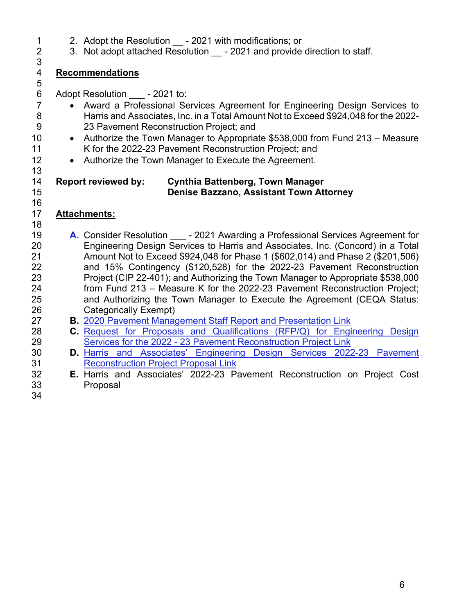- 1 2. Adopt the Resolution \_\_ 2021 with modifications; or<br>2 3. Not adopt attached Resolution 2021 and provide
	- 3. Not adopt attached Resolution 2021 and provide direction to staff.

#### 3<br>4 **Recommendations**

6 Adopt Resolution - 2021 to:

- Award a Professional Services Agreement for Engineering Design Services to 8 Harris and Associates, Inc. in a Total Amount Not to Exceed \$924,048 for the 2022- 9 23 Pavement Reconstruction Project; and
- 10 Authorize the Town Manager to Appropriate \$538,000 from Fund 213 Measure K for the 2022-23 Pavement Reconstruction Project; and
- 12 Authorize the Town Manager to Execute the Agreement.

### **Report reviewed by: Cynthia Battenberg, Town Manager Denise Bazzano, Assistant Town Attorney**

## **Attachments:**

- 19 **A.** Consider Resolution \_\_\_ 2021 Awarding a Professional Services Agreement for<br>20 **A. Congineering Design Services to Harris and Associates, Inc. (Concord) in a Total** Engineering Design Services to Harris and Associates, Inc. (Concord) in a Total Amount Not to Exceed \$924,048 for Phase 1 (\$602,014) and Phase 2 (\$201,506) and 15% Contingency (\$120,528) for the 2022-23 Pavement Reconstruction Project (CIP 22-401); and Authorizing the Town Manager to Appropriate \$538,000 from Fund 213 – Measure K for the 2022-23 Pavement Reconstruction Project; and Authorizing the [Town Manager to Execute the Agreement \(CEQA Status:](https://www.moraga.ca.us/DocumentCenter/View/6355/Att-B---2020-Pavement-Management-SR-and-Pres) Categorically Exempt)
- **B.** [2020 Pavement Management Staff Report and Presentation Link](https://www.moraga.ca.us/DocumentCenter/View/6355/Att-B---2020-Pavement-Management-SR-and-Pres)
- **C.** [Request for Proposals and Qualifications \(RFP/Q\) for Engineering Design](https://www.moraga.ca.us/DocumentCenter/View/6356/Att-C---RFPQ) [Services for the 2022 - 23 Pavement Reconstruction Project](https://www.moraga.ca.us/DocumentCenter/View/6356/Att-C---RFPQ) Link
- **D.** [Harris and Associates' Engineering Design Services 2022-23 Pavement](https://www.moraga.ca.us/DocumentCenter/View/6357/Att-D---H-and-A-Proposal) [Reconstruction Project Proposal](https://www.moraga.ca.us/DocumentCenter/View/6357/Att-D---H-and-A-Proposal) Link
- **E.** Harris and Associates' 2022-23 Pavement Reconstruction on Project Cost Proposal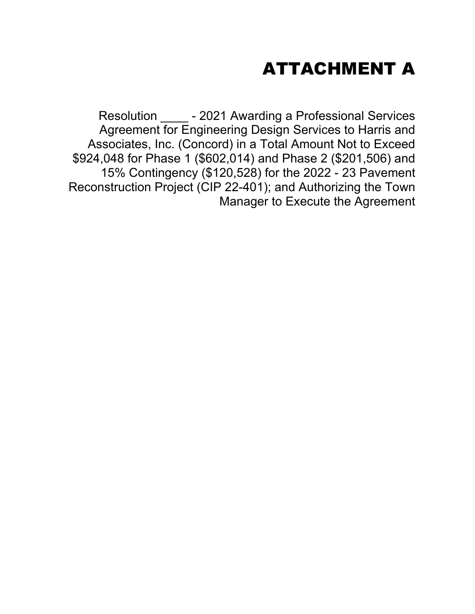## ATTACHMENT A

Resolution \_\_\_\_ - 2021 Awarding a Professional Services Agreement for Engineering Design Services to Harris and Associates, Inc. (Concord) in a Total Amount Not to Exceed \$924,048 for Phase 1 (\$602,014) and Phase 2 (\$201,506) and 15% Contingency (\$120,528) for the 2022 - 23 Pavement Reconstruction Project (CIP 22-401); and Authorizing the Town Manager to Execute the Agreement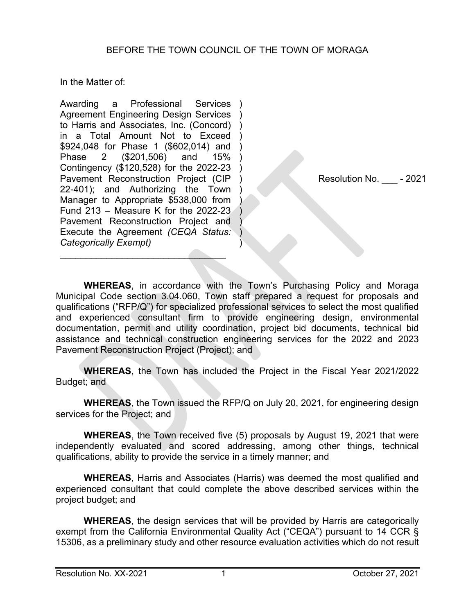In the Matter of:

Awarding a Professional Services Agreement Engineering Design Services to Harris and Associates, Inc. (Concord) ) in a Total Amount Not to Exceed \$924,048 for Phase 1 (\$602,014) and Phase 2 (\$201,506) and 15% Contingency (\$120,528) for the 2022-23 Pavement Reconstruction Project (CIP 22-401); and Authorizing the Town Manager to Appropriate \$538,000 from Fund 213 – Measure K for the 2022-23 Pavement Reconstruction Project and Execute the Agreement *(CEQA Status: Categorically Exempt)* ) ) ) ) ) ) ) ) ) )  $\mathcal{Y}$ ) )

 $\overline{\phantom{a}}$  , and the set of the set of the set of the set of the set of the set of the set of the set of the set of the set of the set of the set of the set of the set of the set of the set of the set of the set of the s

Resolution No. \_\_\_ - 2021

**WHEREAS**, in accordance with the Town's Purchasing Policy and Moraga Municipal Code section 3.04.060, Town staff prepared a request for proposals and qualifications ("RFP/Q") for specialized professional services to select the most qualified and experienced consultant firm to provide engineering design, environmental documentation, permit and utility coordination, project bid documents, technical bid assistance and technical construction engineering services for the 2022 and 2023 Pavement Reconstruction Project (Project); and

**WHEREAS**, the Town has included the Project in the Fiscal Year 2021/2022 Budget; and

**WHEREAS**, the Town issued the RFP/Q on July 20, 2021, for engineering design services for the Project; and

**WHEREAS**, the Town received five (5) proposals by August 19, 2021 that were independently evaluated and scored addressing, among other things, technical qualifications, ability to provide the service in a timely manner; and

**WHEREAS**, Harris and Associates (Harris) was deemed the most qualified and experienced consultant that could complete the above described services within the project budget; and

**WHEREAS**, the design services that will be provided by Harris are categorically exempt from the California Environmental Quality Act ("CEQA") pursuant to 14 CCR § 15306, as a preliminary study and other resource evaluation activities which do not result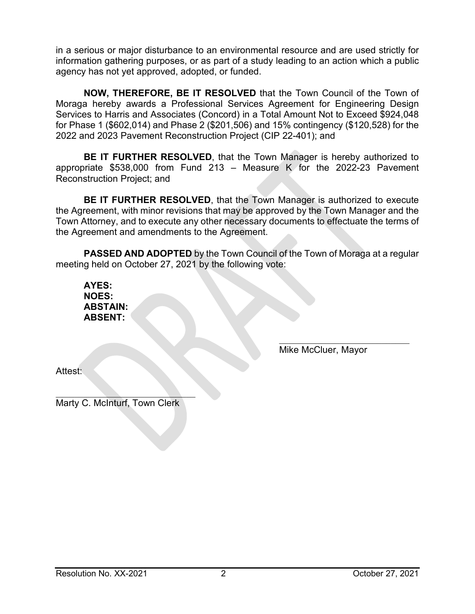in a serious or major disturbance to an environmental resource and are used strictly for information gathering purposes, or as part of a study leading to an action which a public agency has not yet approved, adopted, or funded.

**NOW, THEREFORE, BE IT RESOLVED** that the Town Council of the Town of Moraga hereby awards a Professional Services Agreement for Engineering Design Services to Harris and Associates (Concord) in a Total Amount Not to Exceed \$924,048 for Phase 1 (\$602,014) and Phase 2 (\$201,506) and 15% contingency (\$120,528) for the 2022 and 2023 Pavement Reconstruction Project (CIP 22-401); and

**BE IT FURTHER RESOLVED**, that the Town Manager is hereby authorized to appropriate \$538,000 from Fund 213 – Measure K for the 2022-23 Pavement Reconstruction Project; and

**BE IT FURTHER RESOLVED, that the Town Manager is authorized to execute** the Agreement, with minor revisions that may be approved by the Town Manager and the Town Attorney, and to execute any other necessary documents to effectuate the terms of the Agreement and amendments to the Agreement.

**PASSED AND ADOPTED** by the Town Council of the Town of Moraga at a regular meeting held on October 27, 2021 by the following vote:

**AYES: NOES: ABSTAIN: ABSENT:**

> $\mathcal{L}_\mathcal{L}$  , which is a set of the set of the set of the set of the set of the set of the set of the set of the set of the set of the set of the set of the set of the set of the set of the set of the set of the set of Mike McCluer, Mayor

Attest:

 $\mathcal{L}_\text{max}$  , we can also the contribution of  $\mathcal{L}_\text{max}$ Marty C. McInturf, Town Clerk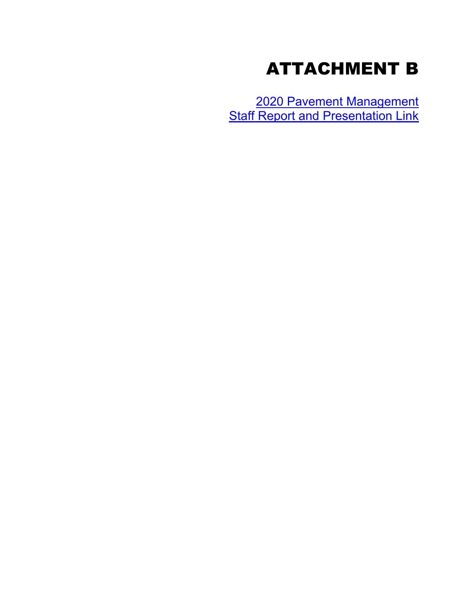## ATTACHMENT B

[2020 Pavement Management](https://www.moraga.ca.us/DocumentCenter/View/6355/Att-B---2020-Pavement-Management-SR-and-Pres)  [Staff Report and Presentation Link](https://www.moraga.ca.us/DocumentCenter/View/6355/Att-B---2020-Pavement-Management-SR-and-Pres)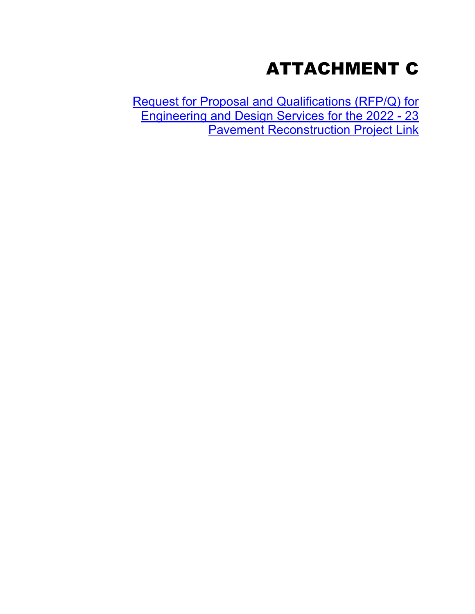# ATTACHMENT C

[Request for Proposal and Qualifications \(RFP/Q\) for](https://www.moraga.ca.us/DocumentCenter/View/6356/Att-C---RFPQ)  [Engineering and Design Services for the 2022 - 23](https://www.moraga.ca.us/DocumentCenter/View/6356/Att-C---RFPQ)  [Pavement Reconstruction Project Link](https://www.moraga.ca.us/DocumentCenter/View/6356/Att-C---RFPQ)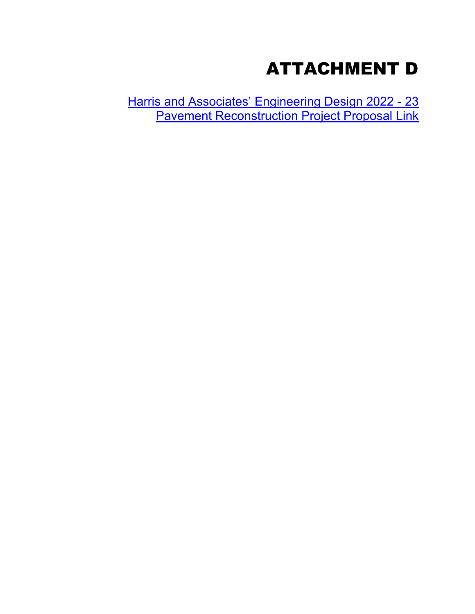## ATTACHMENT D

[Harris and Associates' Engineering Design 2022 - 23](https://www.moraga.ca.us/DocumentCenter/View/6357/Att-D---H-and-A-Proposal)  [Pavement Reconstruction Project Proposal Link](https://www.moraga.ca.us/DocumentCenter/View/6357/Att-D---H-and-A-Proposal)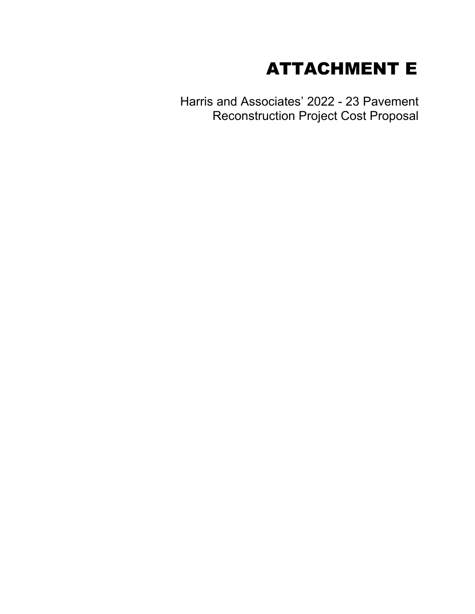## ATTACHMENT E

Harris and Associates' 2022 - 23 Pavement Reconstruction Project Cost Proposal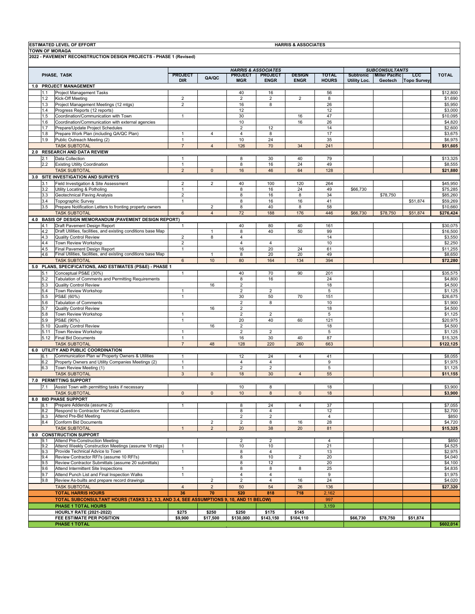|            | <b>ESTIMATED LEVEL OF EFFORT</b><br><b>TOWN OF MORAGA</b>                                |                                |                |                               |                                | <b>HARRIS &amp; ASSOCIATES</b> |                              |                     |                                       |                                  |                     |
|------------|------------------------------------------------------------------------------------------|--------------------------------|----------------|-------------------------------|--------------------------------|--------------------------------|------------------------------|---------------------|---------------------------------------|----------------------------------|---------------------|
|            | 2022 - PAVEMENT RECONSTRUCTION DESIGN PROJECTS - PHASE 1 (Revised)                       |                                |                |                               |                                |                                |                              |                     |                                       |                                  |                     |
|            |                                                                                          |                                |                |                               | <b>HARRIS &amp; ASSOCIATES</b> |                                |                              |                     | <b>SUBCONSULTANTS</b>                 |                                  |                     |
|            | PHASE, TASK                                                                              | <b>PROJECT</b><br><b>DIR</b>   | QA/QC          | <b>PROJECT</b><br><b>MGR</b>  | <b>PROJECT</b><br><b>ENGR</b>  | <b>DESIGN</b><br><b>ENGR</b>   | <b>TOTAL</b><br><b>HOURS</b> | <b>Utility Loc.</b> | Subtronic   Miller Pacific<br>Geotech | <b>LCC</b><br><b>Topo Survey</b> | <b>TOTAL</b>        |
|            | 1.0 PROJECT MANAGEMENT                                                                   |                                |                |                               |                                |                                |                              |                     |                                       |                                  |                     |
| 1.1        | Project Management Tasks                                                                 |                                |                | 40                            | 16                             |                                | 56                           |                     |                                       |                                  | \$12,800            |
| 1.2        | Kick-Off Meeting                                                                         | $\overline{2}$                 |                | $\overline{2}$                | $\overline{2}$                 | $\overline{2}$                 | 8                            |                     |                                       |                                  | \$1,690             |
| 1.3        | Project Management Meetings (12 mtgs)                                                    | $\overline{2}$                 |                | 16                            | 8                              |                                | 26                           |                     |                                       |                                  | \$5,950             |
| 1.4<br>1.5 | Progress Reports (12 reports)<br>Coordination/Communication with Town                    | $\mathbf{1}$                   |                | 12<br>30                      |                                | 16                             | 12<br>47                     |                     |                                       |                                  | \$3,000<br>\$10,095 |
| 1.6        | Coordination/Communication with external agencies                                        |                                |                | 10                            |                                | 16                             | 26                           |                     |                                       |                                  | \$4,820             |
| 1.7        | Prepare/Update Project Schedules                                                         |                                |                | $\overline{\mathbf{c}}$       | 12                             |                                | 14                           |                     |                                       |                                  | \$2,600             |
| 1.8        | Prepare Work Plan (including QA/QC Plan)                                                 | $\overline{1}$                 | $\overline{4}$ | $\overline{\mathbf{4}}$       | 8                              |                                | 17                           |                     |                                       |                                  | \$3,675             |
| 1.9        | Public Outreach Meeting (2)                                                              | $\mathbf{1}$                   |                | 10                            | 24                             |                                | 35                           |                     |                                       |                                  | \$6,975             |
|            | <b>TASK SUBTOTAL</b>                                                                     | $\overline{7}$                 | $\overline{4}$ | 126                           | 70                             | 34                             | 241                          |                     |                                       |                                  | \$51,605            |
|            | 2.0 RESEARCH AND DATA REVIEW                                                             |                                |                |                               |                                |                                |                              |                     |                                       |                                  |                     |
| 2.1        | Data Collection                                                                          | $\mathbf{1}$                   |                | 8                             | 30                             | 40                             | 79                           |                     |                                       |                                  | \$13,325            |
| 2.2        | <b>Existing Utility Coordination</b><br><b>TASK SUBTOTAL</b>                             | $\mathbf{1}$<br>$\overline{2}$ | $\mathbf{0}$   | 8<br>16                       | 16<br>46                       | 24<br>64                       | 49<br>128                    |                     |                                       |                                  | \$8,555<br>\$21,880 |
|            | 3.0 SITE INVESTIGATION AND SURVEYS                                                       |                                |                |                               |                                |                                |                              |                     |                                       |                                  |                     |
| 3.1        | Field Investigation & Site Assessment                                                    | $\overline{2}$                 | 2              | 40                            | 100                            | 120                            | 264                          |                     |                                       |                                  | \$45,950            |
| 3.2        | Utility Locating & Potholing                                                             | $\mathbf{1}$                   |                | 8                             | 16                             | 24                             | 49                           | \$66,730            |                                       |                                  | \$75,285            |
| 3.3        | Geotechnical Paving Analysis                                                             | $\overline{2}$                 |                | 8                             | 16                             | 8                              | 34                           |                     | \$78,750                              |                                  | \$85,260            |
| 3.4        | Topographic Survey                                                                       | $\mathbf{1}$                   |                | 8                             | 16                             | 16                             | 41                           |                     |                                       | \$51,874                         | \$59,269            |
| 3.5        | Prepare Notification Letters to fronting property owners                                 |                                | 2              | 8                             | 40                             | 8                              | 58                           |                     |                                       |                                  | \$10,660            |
|            | <b>TASK SUBTOTAL</b>                                                                     | 6                              | $\overline{4}$ | 72                            | 188                            | 176                            | 446                          | \$66,730            | \$78,750                              | \$51,874                         | \$276,424           |
|            | 4.0 BASIS OF DESIGN MEMORANDUM (PAVEMENT DESIGN REPORT)                                  |                                |                |                               |                                |                                |                              |                     |                                       |                                  |                     |
| 4.1        | Draft Pavement Design Report                                                             | $\mathbf{1}$                   |                | 40                            | 80                             | 40                             | 161                          |                     |                                       |                                  | \$30,075            |
| 4.2        | Draft Utilities, facilities, and existing conditions base Map                            |                                | $\mathbf{1}$   | 8                             | 40                             | 50                             | 99                           |                     |                                       |                                  | \$16,500            |
| 4.3        | <b>Quality Control Review</b>                                                            | $\overline{2}$                 | 8              | 4                             |                                |                                | 14                           |                     |                                       |                                  | \$3,550             |
| 4.4        | Town Review Workshop<br>Final Pavement Design Report                                     | $\overline{2}$                 |                | $\overline{\mathbf{4}}$<br>16 | $\overline{4}$<br>20           | 24                             | 10<br>61                     |                     |                                       |                                  | \$2,250             |
| 4.5<br>4.6 | Final Utilities, facilities, and existing conditions base Map                            | $\mathbf{1}$                   | 1              | 8                             | 20                             | 20                             | 49                           |                     |                                       |                                  | \$11,255<br>\$8,650 |
|            | <b>TASK SUBTOTAL</b>                                                                     | $6\phantom{.}6$                | 10             | 80                            | 164                            | 134                            | 394                          |                     |                                       |                                  | \$72,280            |
|            | 5.0 PLANS, SPECIFICATIONS, AND ESTIMATES (PS&E) - PHASE 1                                |                                |                |                               |                                |                                |                              |                     |                                       |                                  |                     |
| 5.1        | Conceptual PS&E (30%)                                                                    | $\mathbf{1}$                   |                | 40                            | 70                             | 90                             | 201                          |                     |                                       |                                  | \$35,575            |
| 5.2        | Tabulation of Comments and Permitting Requirements                                       |                                |                | 8                             | 16                             |                                | 24                           |                     |                                       |                                  | \$4,800             |
| 5.3        | <b>Quality Control Review</b>                                                            |                                | 16             | $\mathbf 2$                   |                                |                                | 18                           |                     |                                       |                                  | \$4,500             |
| 5.4        | Town Review Workshop                                                                     | $\mathbf{1}$                   |                | $\overline{2}$                | $\overline{2}$                 |                                | 5                            |                     |                                       |                                  | \$1,125             |
| 5.5        | PS&E (60%)                                                                               | $\mathbf{1}$                   |                | 30                            | 50                             | 70                             | 151                          |                     |                                       |                                  | \$26,675            |
| 5.6        | <b>Tabulation of Comments</b>                                                            |                                |                | $\boldsymbol{2}$              | 8                              |                                | 10                           |                     |                                       |                                  | \$1,900             |
| 5.7        | <b>Quality Control Review</b>                                                            |                                | 16             | $\overline{2}$                |                                |                                | 18                           |                     |                                       |                                  | \$4,500             |
| 5.8<br>5.9 | Town Review Workshop<br>PS&E (90%)                                                       | $\mathbf{1}$<br>$\mathbf{1}$   |                | $\overline{2}$<br>20          | $\overline{2}$<br>40           | 60                             | 5<br>121                     |                     |                                       |                                  | \$1,125<br>\$20,975 |
| 5.10       | Quality Control Review                                                                   |                                | 16             | $\overline{2}$                |                                |                                | 18                           |                     |                                       |                                  | \$4,500             |
| 5.11       | Town Review Workshop                                                                     | $\mathbf{1}$                   |                | $\overline{2}$                | $\overline{2}$                 |                                | $\overline{5}$               |                     |                                       |                                  | \$1,125             |
| 5.12       | <b>Final Bid Documents</b>                                                               | $\mathbf{1}$                   |                | 16                            | 30                             | 40                             | 87                           |                     |                                       |                                  | \$15,325            |
|            | <b>TASK SUBTOTAL</b>                                                                     | $\overline{7}$                 | 48             | 128                           | 220                            | 260                            | 663                          |                     |                                       |                                  | \$122,125           |
|            | 6.0 UTILITY AND PUBLIC COORDINATION                                                      |                                |                |                               |                                |                                |                              |                     |                                       |                                  |                     |
| 6.1        | Communication Plan w/ Property Owners & Utilities                                        | 1                              |                | 12                            | 24                             | $\overline{4}$                 | 41                           |                     |                                       |                                  | \$8,055             |
| 6.2        | Property Owners and Utility Companies Meetings (2)                                       | $\mathbf{1}$                   |                | $\overline{\mathbf{4}}$       | $\overline{4}$                 |                                | 9                            |                     |                                       |                                  | \$1,975             |
| 6.3        | Town Review Meeting (1)                                                                  | $\mathbf{1}$                   |                | $\overline{2}$                | $\overline{2}$                 |                                | 5                            |                     |                                       |                                  | \$1,125             |
|            | <b>TASK SUBTOTAL</b>                                                                     | 3                              | $\mathsf 0$    | 18                            | 30                             | $\overline{4}$                 | 55                           |                     |                                       |                                  | \$11,155            |
|            | 7.0 PERMITTING SUPPORT                                                                   |                                |                |                               |                                |                                |                              |                     |                                       |                                  |                     |
|            | 7.1 Assist Town with permitting tasks if necessary                                       | $\mathbf 0$                    | $\mathsf 0$    | 10<br>10                      | 8                              |                                | 18                           |                     |                                       |                                  | \$3,900             |
|            | <b>TASK SUBTOTAL</b><br>8.0 BID PHASE SUPPORT                                            |                                |                |                               | 8                              | $\mathbf 0$                    | 18                           |                     |                                       |                                  | \$3,900             |
| 8.1        | Prepare Addenda (assume 2)                                                               | $\mathbf{1}$                   |                | 8                             | 24                             | 4                              | 37                           |                     |                                       |                                  | \$7,055             |
| 8.2        | Respond to Contractor Technical Questions                                                |                                |                | 8                             | 4                              |                                | 12                           |                     |                                       |                                  | \$2,700             |
| 8.3        | <b>Attend Pre-Bid Meeting</b>                                                            |                                |                | $\boldsymbol{2}$              | $\overline{2}$                 |                                | 4                            |                     |                                       |                                  | \$850               |
| 8.4        | Conform Bid Documents                                                                    |                                | $\overline{2}$ | $\boldsymbol{2}$              | 8                              | 16                             | 28                           |                     |                                       |                                  | \$4,720             |
|            | <b>TASK SUBTOTAL</b>                                                                     | $\mathbf{1}$                   | $\overline{2}$ | 20                            | 38                             | 20                             | 81                           |                     |                                       |                                  | \$15,325            |
|            | 9.0 CONSTRUCTION SUPPORT                                                                 |                                |                |                               |                                |                                |                              |                     |                                       |                                  |                     |
| 9.1        | Attend Pre-Construction Meeting<br>Attend Weekly Construction Meetings (assume 10 mtgs)  |                                |                | 2                             | $\overline{2}$                 |                                | 4                            |                     |                                       |                                  | \$850               |
| 9.2<br>9.3 | Provide Technical Advice to Town                                                         | $\mathbf{1}$<br>$\mathbf{1}$   |                | 10<br>8                       | 10<br>4                        |                                | 21<br>13                     |                     |                                       |                                  | \$4,525<br>\$2,975  |
| 9.4        | Review Contractor RFI's (assume 10 RFI's)                                                |                                |                | 8                             | 10                             | $\overline{2}$                 | 20                           |                     |                                       |                                  | \$4,040             |
| 9.5        | Review Contractor Submittals (assume 20 submittals)                                      |                                |                | 8                             | 12                             |                                | 20                           |                     |                                       |                                  | \$4,100             |
| 9.6        | Attend Intermittent Site Inspections                                                     | $\mathbf{1}$                   |                | 8                             | 8                              | 8                              | 25                           |                     |                                       |                                  | \$4,835             |
| 9.7        | Attend Punch List and Final Inspection Walks                                             | $\mathbf{1}$                   |                | 4                             | $\overline{4}$                 |                                | 9                            |                     |                                       |                                  | \$1,975             |
| 9.8        | Review As-builts and prepare record drawings                                             |                                | $\overline{2}$ | $\overline{2}$                | $\overline{4}$                 | 16                             | 24                           |                     |                                       |                                  | \$4,020             |
|            | <b>TASK SUBTOTAL</b>                                                                     | $\overline{4}$                 | $\overline{2}$ | 50                            | 54                             | 26                             | 136                          |                     |                                       |                                  | \$27,320            |
|            | <b>TOTAL HARRIS HOURS</b>                                                                | 36                             | 70             | 520                           | 818                            | 718                            | 2,162                        |                     |                                       |                                  |                     |
|            | TOTAL SUBCONSULTANT HOURS (TASKS 3.2, 3.3, AND 3.4, SEE ASSUMPTIONS 9, 10, AND 11 BELOW) |                                |                |                               |                                |                                | 997                          |                     |                                       |                                  |                     |
|            | PHASE 1 TOTAL HOURS                                                                      |                                |                |                               |                                |                                | 3,159                        |                     |                                       |                                  |                     |
|            | <b>HOURLY RATE (2021-2022)</b>                                                           | \$275                          | \$250          | \$250                         | \$175                          | \$145                          |                              |                     |                                       |                                  |                     |
|            | FEE ESTIMATE PER POSITION                                                                | \$9,900                        | \$17,500       | \$130,000                     | \$143,150                      | \$104,110                      |                              | \$66,730            | \$78,750                              | \$51,874                         |                     |
|            | <b>PHASE 1 TOTAL</b>                                                                     |                                |                |                               |                                |                                |                              |                     |                                       |                                  | \$602,014           |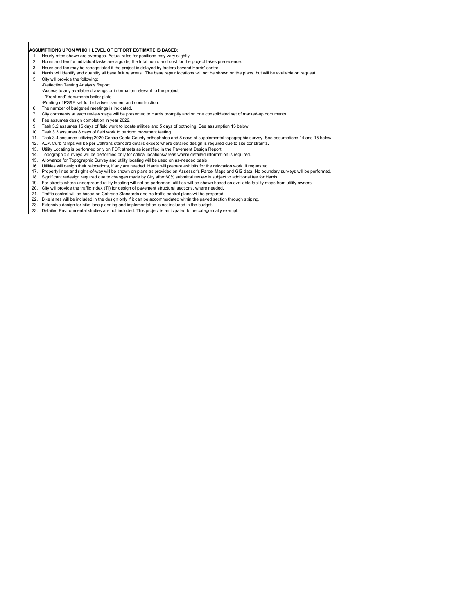#### **ASSUMPTIONS UPON WHICH LEVEL OF EFFORT ESTIMATE IS BASED:**

- 
- 1. Hourly rates shown are averages. Actual rates for positions may vary slightly.<br>2. Hours and fee for individual tasks are a quide; the total hours and cost for the 2. Hours and fee for individual tasks are a guide; the total hours and cost for the project takes precedence.
- 3. Hours and fee may be renegotiated if the project is delayed by factors beyond Harris' control.
- 4. Harris will identify and quantity all base failure areas. The base repair locations will not be shown on the plans, but will be available on request.
- 5. City will provide the following:
- -Deflection Testing Analysis Report
- -Access to any available drawings or information relevant to the project.
- "Front-end" documents boiler plate
- -Printing of PS&E set for bid advertisement and construction.
- 6. The number of budgeted meetings is indicated.
- 7. City comments at each review stage will be presented to Harris promptly and on one consolidated set of marked-up documents.
- 8. Fee assumes design completion in year 2022.<br>9. Task 3.2 assumes 15 days of field work to local
- Task 3.2 assumes 15 days of field work to locate utilities and 5 days of potholing. See assumption 13 below.
- 10. Task 3.3 assumes 8 days of field work to perform pavement testing.
- 11. Task 3.4 assumes utilizing 2020 Contra Costa County orthophotos and 8 days of supplemental topographic survey. See assumptions 14 and 15 below.
- 12. ADA Curb ramps will be per Caltrans standard details except where detailed design is required due to site constraints.
- 13. Utility Locating is performed only on FDR streets as identified in the Pavement Design Report.
- 14. Topographic surveys will be performed only for critical locations/areas where detailed information is required.
- 15. Allowance for Topographic Survey and utility locating will be used on as-needed basis
- 
- 16. Utilities will design their relocations, if any are needed. Harris will prepare exhibits for the relocation work, if requested.<br>17. Property lines and rights-of-way will be shown on plans as provided on Assessor's Parc 17. Property lines and rights-of-way will be shown on plans as provided on Assessor's Parcel Maps and GIS data. No boundary surveys will be performed.
- 18. Significant redesign required due to changes made by City after 60% submittal review is subject to additional fee for Harris 19. For streets where underground utility locating will not be performed, utilities will be shown based on available facility maps from utility owners.<br>20. City will provide the traffic index (TI) for design of payement st
- City will provide the traffic index (TI) for design of pavement structural sections, where needed.
- 21. Traffic control will be based on Caltrans Standards and no traffic control plans will be prepared.
- 22. Bike lanes will be included in the design only if it can be accommodated within the paved section through striping.
- 23. Extensive design for bike lane planning and implementation is not included in the budget.
- 23. Detailed Environmental studies are not included. This project is anticipated to be categorically exempt.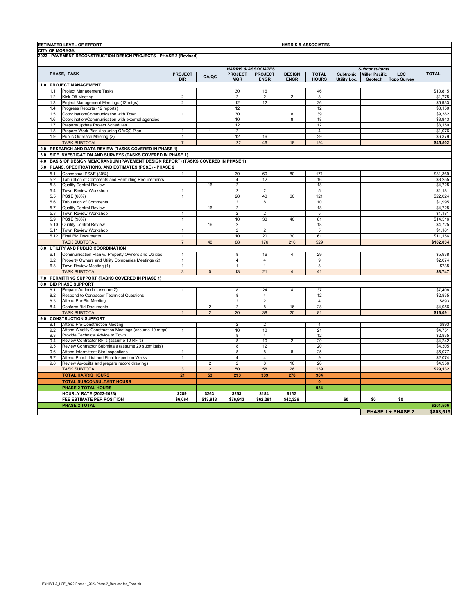|                                | <b>ESTIMATED LEVEL OF EFFORT</b><br><b>HARRIS &amp; ASSOCIATES</b> |                                                                                    |                |                |                         |                         |                |                       |                       |            |                          |           |
|--------------------------------|--------------------------------------------------------------------|------------------------------------------------------------------------------------|----------------|----------------|-------------------------|-------------------------|----------------|-----------------------|-----------------------|------------|--------------------------|-----------|
|                                |                                                                    | <b>CITY OF MORAGA</b>                                                              |                |                |                         |                         |                |                       |                       |            |                          |           |
|                                |                                                                    | 2023 - PAVEMENT RECONSTRUCTION DESIGN PROJECTS - PHASE 2 (Revised)                 |                |                |                         |                         |                |                       |                       |            |                          |           |
| <b>HARRIS &amp; ASSOCIATES</b> |                                                                    |                                                                                    |                |                |                         |                         |                | <b>Subconsultants</b> |                       |            |                          |           |
| PHASE, TASK                    |                                                                    | <b>PROJECT</b>                                                                     |                | <b>PROJECT</b> | <b>PROJECT</b>          | <b>DESIGN</b>           | <b>TOTAL</b>   | <b>Subtronic</b>      | <b>Miller Pacific</b> | <b>LCC</b> | <b>TOTAL</b>             |           |
|                                |                                                                    |                                                                                    | <b>DIR</b>     | QA/QC          | <b>MGR</b>              | <b>ENGR</b>             | <b>ENGR</b>    | <b>HOURS</b>          | Utility Loc.          | Geotech    | <b>Topo Survey</b>       |           |
|                                |                                                                    | 1.0 PROJECT MANAGEMENT                                                             |                |                |                         |                         |                |                       |                       |            |                          |           |
|                                | 1.1                                                                | Project Management Tasks                                                           |                |                | 30                      | 16                      |                | 46                    |                       |            |                          | \$10,815  |
|                                | 1.2                                                                | Kick-Off Meeting                                                                   | $\overline{2}$ |                | $\overline{2}$          | $\overline{2}$          | $\overline{2}$ | 8                     |                       |            |                          | \$1,775   |
|                                | 1.3                                                                | Project Management Meetings (12 mtgs)                                              | $\mathbf 2$    |                | 12                      | 12                      |                | 26                    |                       |            |                          | \$5,933   |
|                                | 1.4                                                                | Progress Reports (12 reports)                                                      |                |                | 12                      |                         |                | 12                    |                       |            |                          | \$3,150   |
|                                | 1.5                                                                | Coordination/Communication with Town                                               | $\mathbf{1}$   |                | 30                      |                         | 8              | 39                    |                       |            |                          | \$9,382   |
|                                | 1.6                                                                | Coordination/Communication with external agencies                                  |                |                | $10$                    |                         | 8              | 18                    |                       |            |                          | \$3,843   |
|                                | 1.7                                                                | Prepare/Update Project Schedules                                                   |                |                | 12                      |                         |                | 12                    |                       |            |                          | \$3,150   |
|                                | 1.8                                                                | Prepare Work Plan (including QA/QC Plan)                                           | $\overline{1}$ | 1              | $\overline{\mathbf{c}}$ |                         |                | 4                     |                       |            |                          | \$1,076   |
|                                | 1.9                                                                | Public Outreach Meeting (2)                                                        | $\mathbf{1}$   |                | 12                      | 16                      |                | 29                    |                       |            |                          | \$6,379   |
|                                |                                                                    | <b>TASK SUBTOTAL</b>                                                               | $\overline{7}$ | $\mathbf{1}$   | 122                     | 46                      | 18             | 194                   |                       |            |                          | \$45,502  |
|                                |                                                                    | 2.0 RESEARCH AND DATA REVIEW (TASKS COVERED IN PHASE 1)                            |                |                |                         |                         |                |                       |                       |            |                          |           |
|                                |                                                                    | 3.0 SITE INVESTIGATION AND SURVEYS (TASKS COVERED IN PHASE 1)                      |                |                |                         |                         |                |                       |                       |            |                          |           |
|                                |                                                                    | 4.0 BASIS OF DESIGN MEMORANDUM (PAVEMENT DESIGN REPORT) (TASKS COVERED IN PHASE 1) |                |                |                         |                         |                |                       |                       |            |                          |           |
|                                |                                                                    | 5.0 PLANS, SPECIFICATIONS, AND ESTIMATES (PS&E) - PHASE 2                          |                |                |                         |                         |                |                       |                       |            |                          |           |
|                                | 5.1                                                                | Conceptual PS&E (30%)                                                              | $\mathbf{1}$   |                | 30                      | 60                      | 80             | 171                   |                       |            |                          | \$31,369  |
|                                | 5.2                                                                | Tabulation of Comments and Permitting Requirements                                 |                |                | $\overline{4}$          | 12                      |                | 16                    |                       |            |                          | \$3,255   |
|                                | 5.3                                                                | <b>Quality Control Review</b>                                                      |                | 16             | $\sqrt{2}$              |                         |                | 18                    |                       |            |                          | \$4,725   |
|                                | 5.4                                                                | Town Review Workshop                                                               | $\mathbf{1}$   |                | $\overline{2}$          | $\overline{2}$          |                | 5                     |                       |            |                          | \$1,181   |
|                                | 5.5                                                                | PS&E (60%)                                                                         | $\mathbf{1}$   |                | 20                      | 40                      | 60             | 121                   |                       |            |                          | \$22,024  |
|                                | 5.6                                                                | <b>Tabulation of Comments</b>                                                      |                |                | $\overline{c}$          | 8                       |                | 10                    |                       |            |                          | \$1,995   |
|                                | 5.7                                                                | <b>Quality Control Review</b>                                                      |                | 16             | $\overline{2}$          |                         |                | 18                    |                       |            |                          | \$4,725   |
|                                | 5.8                                                                | Town Review Workshop                                                               | $\mathbf{1}$   |                | $\overline{\mathbf{c}}$ | $\overline{2}$          |                | 5                     |                       |            |                          | \$1,181   |
|                                | 5.9                                                                | PS&E (90%)                                                                         | $\mathbf{1}$   |                | 10                      | 30                      | 40             | 81                    |                       |            |                          | \$14,516  |
|                                | 5.10                                                               | <b>Quality Control Review</b>                                                      |                | 16             | $\overline{2}$          |                         |                | 18                    |                       |            |                          | \$4,725   |
|                                | 5.11                                                               | Town Review Workshop                                                               | $\mathbf{1}$   |                | $\overline{2}$          | $\overline{2}$          |                | 5                     |                       |            |                          | \$1,181   |
|                                | 5.12                                                               | <b>Final Bid Documents</b>                                                         | $\mathbf{1}$   |                | 10                      | 20                      | 30             | 61                    |                       |            |                          | \$11,156  |
|                                |                                                                    | <b>TASK SUBTOTAL</b>                                                               | $\overline{7}$ | 48             | 88                      | 176                     | 210            | 529                   |                       |            |                          | \$102,034 |
|                                |                                                                    | 6.0 UTILITY AND PUBLIC COORDINATION                                                |                |                |                         |                         |                |                       |                       |            |                          |           |
|                                | <b>61</b>                                                          | Communication Plan w/ Property Owners and Utilities                                | $\mathbf{1}$   |                | 8                       | 16                      | $\overline{4}$ | 29                    |                       |            |                          | \$5,938   |
|                                | 6.2                                                                | Property Owners and Utility Companies Meetings (2)                                 | $\mathbf{1}$   |                | 4                       | $\overline{4}$          |                | 9                     |                       |            |                          | \$2,074   |
|                                | 6.3                                                                | Town Review Meeting (1)                                                            | $\mathbf{1}$   |                | $\mathbf{1}$            | $\mathbf{1}$            |                | 3                     |                       |            |                          | \$735     |
|                                |                                                                    | <b>TASK SUBTOTAL</b>                                                               | $\mathbf{3}$   | $\mathbf 0$    | 13                      | 21                      | $\overline{4}$ | 41                    |                       |            |                          | \$8,747   |
|                                |                                                                    | 7.0 PERMITTING SUPPORT (TASKS COVERED IN PHASE 1)                                  |                |                |                         |                         |                |                       |                       |            |                          |           |
|                                |                                                                    | 8.0 BID PHASE SUPPORT                                                              |                |                |                         |                         |                |                       |                       |            |                          |           |
|                                | 8.1                                                                | Prepare Addenda (assume 2)                                                         | 1              |                | 8                       | 24                      | $\overline{4}$ | 37                    |                       |            |                          | \$7,408   |
|                                | 8.2                                                                | Respond to Contractor Technical Questions                                          |                |                | 8                       | $\overline{4}$          |                | 12                    |                       |            |                          | \$2,835   |
|                                | 8.3                                                                | Attend Pre-Bid Meeting                                                             |                |                | $\overline{c}$          | $\overline{\mathbf{c}}$ |                | 4                     |                       |            |                          | \$893     |
|                                | 8.4                                                                | <b>Conform Bid Documents</b>                                                       |                | $\overline{2}$ | $\overline{2}$          | 8                       | 16             | 28                    |                       |            |                          | \$4,956   |
|                                |                                                                    | <b>TASK SUBTOTAL</b>                                                               | $\mathbf{1}$   | $\overline{2}$ | 20                      | 38                      | 20             | 81                    |                       |            |                          | \$16,091  |
|                                |                                                                    | 9.0 CONSTRUCTION SUPPORT                                                           |                |                |                         |                         |                |                       |                       |            |                          |           |
|                                | 9.1                                                                | <b>Attend Pre-Construction Meeting</b>                                             |                |                | $\overline{2}$          | $\overline{2}$          |                | $\overline{4}$        |                       |            |                          | \$893     |
|                                | 9.2                                                                | Attend Weekly Construction Meetings (assume 10 mtgs)                               | $\mathbf{1}$   |                | 10                      | 10                      |                | 21                    |                       |            |                          | \$4,751   |
|                                | 9.3                                                                | Provide Technical Advice to Town                                                   |                |                | 8                       | $\overline{4}$          |                | 12                    |                       |            |                          | \$2,835   |
|                                | 9.4                                                                | Review Contractor RFI's (assume 10 RFI's)                                          |                |                | 8                       | 10                      | $\overline{c}$ | 20                    |                       |            |                          | \$4,242   |
|                                | 9.5                                                                | Review Contractor Submittals (assume 20 submittals)                                |                |                | 8                       | 12                      |                | 20                    |                       |            |                          | \$4,305   |
|                                | 9.6                                                                | Attend Intermittent Site Inspections                                               | $\mathbf{1}$   |                | 8                       | 8                       | 8              | 25                    |                       |            |                          | \$5,077   |
|                                | 9.7                                                                | Attend Punch List and Final Inspection Walks                                       | $\mathbf 1$    |                | 4                       | $\overline{4}$          |                | 9                     |                       |            |                          | \$2,074   |
|                                | 9.8                                                                | Review As-builts and prepare record drawings                                       |                | $\overline{2}$ | $\overline{2}$          | 8                       | 16             | 28                    |                       |            |                          | \$4,956   |
|                                |                                                                    | <b>TASK SUBTOTAL</b>                                                               | $\mathbf{3}$   | $\overline{2}$ | 50                      | 58                      | 26             | 139                   |                       |            |                          | \$29,132  |
|                                |                                                                    | <b>TOTAL HARRIS HOURS</b>                                                          | 21             | 53             | 293                     | 339                     | 278            | 984                   |                       |            |                          |           |
|                                |                                                                    | <b>TOTAL SUBCONSULTANT HOURS</b>                                                   |                |                |                         |                         |                | $\mathbf{0}$          |                       |            |                          |           |
|                                |                                                                    | <b>PHASE 2 TOTAL HOURS</b>                                                         |                |                |                         |                         |                | 984                   |                       |            |                          |           |
| <b>HOURLY RATE (2022-2023)</b> |                                                                    |                                                                                    | \$289          | \$263          | \$263                   | \$184                   | \$152          |                       |                       |            |                          |           |
|                                |                                                                    | FEE ESTIMATE PER POSITION                                                          | \$6,064        | \$13,913       | \$76,913                | \$62,291                | \$42,326       |                       | \$0                   | \$0        | \$0                      |           |
|                                |                                                                    | <b>PHASE 2 TOTAL</b>                                                               |                |                |                         |                         |                |                       |                       |            |                          | \$201,506 |
|                                |                                                                    |                                                                                    |                |                |                         |                         |                |                       |                       |            | <b>PHASE 1 + PHASE 2</b> | \$803,519 |

**PHASE 1 + PHASE 2 \$803,519**